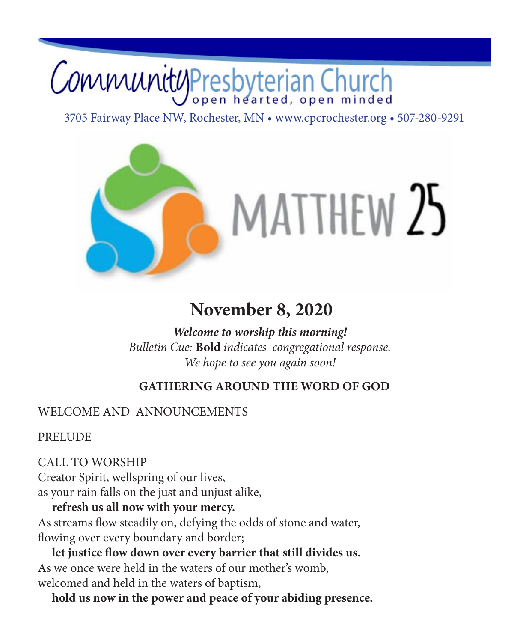# CommunityPresbyterian Church

3705 Fairway Place NW, Rochester, MN • www.cpcrochester.org • 507-280-9291



## **November 8, 2020**

*Welcome to worship this morning! Bulletin Cue:* **Bold** *indicates congregational response. We hope to see you again soon!* 

## **GATHERING AROUND THE WORD OF GOD**

## WELCOME AND ANNOUNCEMENTS

**PRELUDE** 

CALL TO WORSHIP Creator Spirit, wellspring of our lives, as your rain falls on the just and unjust alike,

**refresh us all now with your mercy.** As streams flow steadily on, defying the odds of stone and water, flowing over every boundary and border;

**let justice flow down over every barrier that still divides us.** As we once were held in the waters of our mother's womb, welcomed and held in the waters of baptism,

**hold us now in the power and peace of your abiding presence.**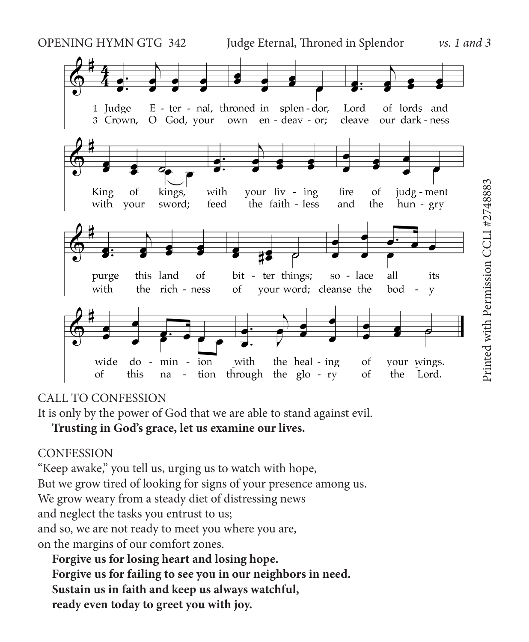

### CALL TO CONFESSION

It is only by the power of God that we are able to stand against evil.

## **Trusting in God's grace, let us examine our lives.**

### **CONFESSION**

"Keep awake," you tell us, urging us to watch with hope, But we grow tired of looking for signs of your presence among us. We grow weary from a steady diet of distressing news and neglect the tasks you entrust to us; and so, we are not ready to meet you where you are, on the margins of our comfort zones.

**Forgive us for losing heart and losing hope. Forgive us for failing to see you in our neighbors in need. Sustain us in faith and keep us always watchful, ready even today to greet you with joy.**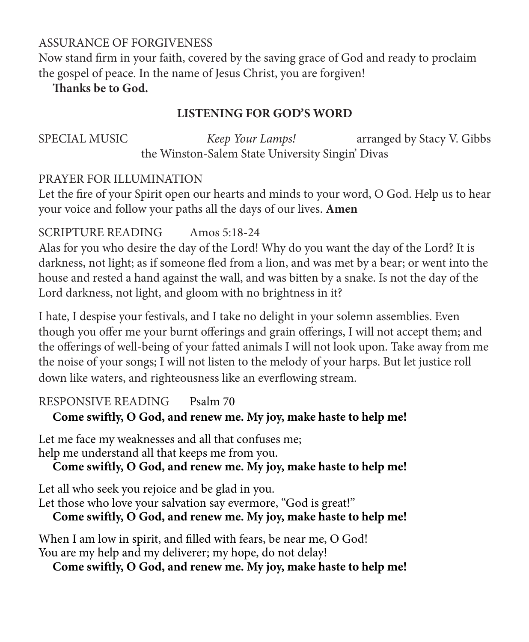## ASSURANCE OF FORGIVENESS

Now stand firm in your faith, covered by the saving grace of God and ready to proclaim the gospel of peace. In the name of Jesus Christ, you are forgiven!

## **Thanks be to God.**

## **LISTENING FOR GOD'S WORD**

SPECIAL MUSIC *Keep Your Lamps!* arranged by Stacy V. Gibbs the Winston-Salem State University Singin' Divas

## PRAYER FOR ILLUMINATION

Let the fire of your Spirit open our hearts and minds to your word, O God. Help us to hear your voice and follow your paths all the days of our lives. **Amen**

## SCRIPTURE READING Amos 5:18-24

Alas for you who desire the day of the Lord! Why do you want the day of the Lord? It is darkness, not light; as if someone fled from a lion, and was met by a bear; or went into the house and rested a hand against the wall, and was bitten by a snake. Is not the day of the Lord darkness, not light, and gloom with no brightness in it?

I hate, I despise your festivals, and I take no delight in your solemn assemblies. Even though you offer me your burnt offerings and grain offerings, I will not accept them; and the offerings of well-being of your fatted animals I will not look upon. Take away from me the noise of your songs; I will not listen to the melody of your harps. But let justice roll down like waters, and righteousness like an everflowing stream.

## RESPONSIVE READING Psalm 70

## **Come swiftly, O God, and renew me. My joy, make haste to help me!**

Let me face my weaknesses and all that confuses me; help me understand all that keeps me from you.

**Come swiftly, O God, and renew me. My joy, make haste to help me!**

Let all who seek you rejoice and be glad in you. Let those who love your salvation say evermore, "God is great!"

## **Come swiftly, O God, and renew me. My joy, make haste to help me!**

When I am low in spirit, and filled with fears, be near me, O God! You are my help and my deliverer; my hope, do not delay!

**Come swiftly, O God, and renew me. My joy, make haste to help me!**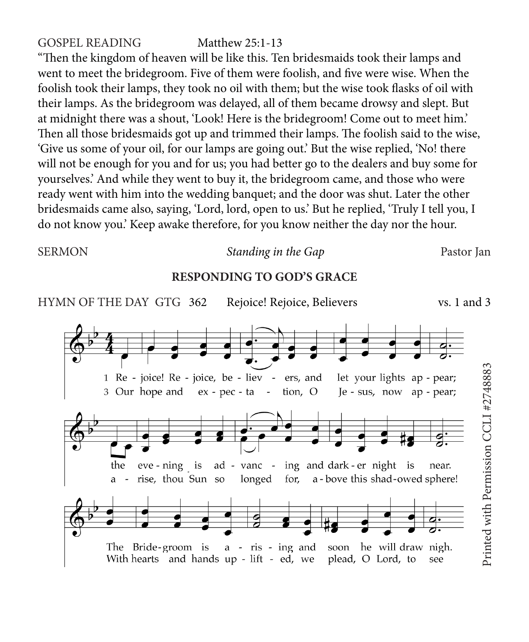#### GOSPEL READING Matthew 25:1-13

"Then the kingdom of heaven will be like this. Ten bridesmaids took their lamps and went to meet the bridegroom. Five of them were foolish, and five were wise. When the foolish took their lamps, they took no oil with them; but the wise took flasks of oil with their lamps. As the bridegroom was delayed, all of them became drowsy and slept. But at midnight there was a shout, 'Look! Here is the bridegroom! Come out to meet him.' Then all those bridesmaids got up and trimmed their lamps. The foolish said to the wise, 'Give us some of your oil, for our lamps are going out.' But the wise replied, 'No! there will not be enough for you and for us; you had better go to the dealers and buy some for yourselves.' And while they went to buy it, the bridegroom came, and those who were ready went with him into the wedding banquet; and the door was shut. Later the other bridesmaids came also, saying, 'Lord, lord, open to us.' But he replied, 'Truly I tell you, I do not know you.' Keep awake therefore, for you know neither the day nor the hour.

#### SERMON *Standing in the Gap* Pastor Jan

#### **RESPONDING TO GOD'S GRACE**

HYMN OF THE DAY GTG 362 Rejoice! Rejoice, Believers vs. 1 and 3Printed with Permission CCLI #27488831 Re - joice! Re - joice, be - liev - ers, and let your lights ap - pear; 3 Our hope and ex - pec - ta tion, O Je - sus, now ap - pear; ad - vanc - ing and dark-er night is the eve - ning is near. longed for, a-bove this shad-owed sphere! rise, thou Sun so The Bride-groom is a - ris - ing and soon he will draw nigh. With hearts and hands up - lift - ed, we plead, O Lord, to see

Printed with Permission CCLI #2748883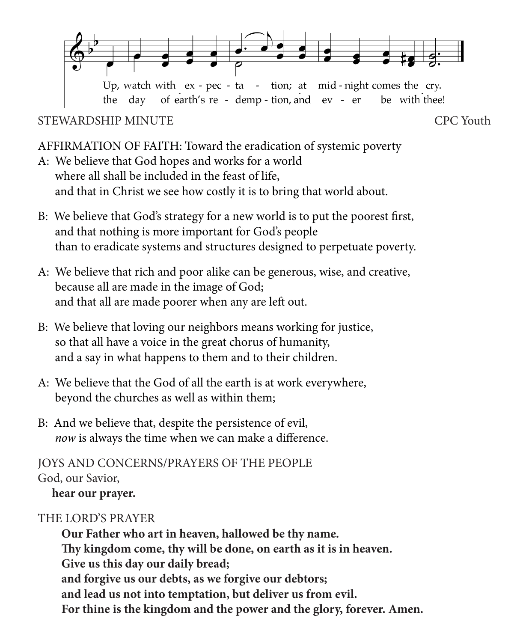

STEWARDSHIP MINUTE

be with thee!

AFFIRMATION OF FAITH: Toward the eradication of systemic poverty

the day of earth's re - demp - tion, and ev - er

- A: We believe that God hopes and works for a world where all shall be included in the feast of life, and that in Christ we see how costly it is to bring that world about.
- B: We believe that God's strategy for a new world is to put the poorest first, and that nothing is more important for God's people than to eradicate systems and structures designed to perpetuate poverty.
- A: We believe that rich and poor alike can be generous, wise, and creative, because all are made in the image of God; and that all are made poorer when any are left out.
- B: We believe that loving our neighbors means working for justice, so that all have a voice in the great chorus of humanity, and a say in what happens to them and to their children.
- A: We believe that the God of all the earth is at work everywhere, beyond the churches as well as within them;
- B: And we believe that, despite the persistence of evil, *now* is always the time when we can make a difference.

JOYS AND CONCERNS/PRAYERS OF THE PEOPLE God, our Savior, **hear our prayer.**

## THE LORD'S PRAYER

**Our Father who art in heaven, hallowed be thy name. Thy kingdom come, thy will be done, on earth as it is in heaven. Give us this day our daily bread; and forgive us our debts, as we forgive our debtors; and lead us not into temptation, but deliver us from evil. For thine is the kingdom and the power and the glory, forever. Amen.**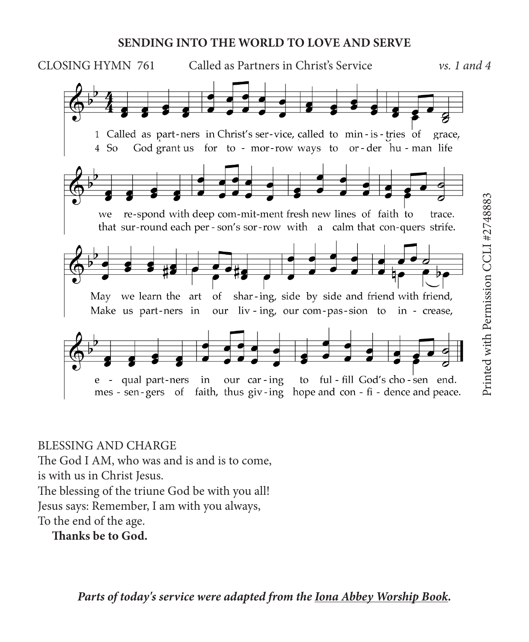#### **SENDING INTO THE WORLD TO LOVE AND SERVE**



### BLESSING AND CHARGE

The God I AM, who was and is and is to come,

is with us in Christ Jesus.

The blessing of the triune God be with you all!

Jesus says: Remember, I am with you always,

To the end of the age.

**Thanks be to God.**

*Parts of today's service were adapted from the Iona Abbey Worship Book.*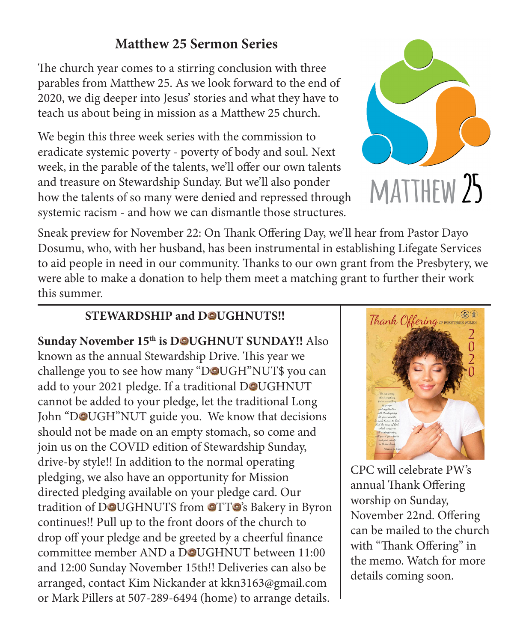## **Matthew 25 Sermon Series**

The church year comes to a stirring conclusion with three parables from Matthew 25. As we look forward to the end of 2020, we dig deeper into Jesus' stories and what they have to teach us about being in mission as a Matthew 25 church.

We begin this three week series with the commission to eradicate systemic poverty - poverty of body and soul. Next week, in the parable of the talents, we'll offer our own talents and treasure on Stewardship Sunday. But we'll also ponder how the talents of so many were denied and repressed through systemic racism - and how we can dismantle those structures.



Sneak preview for November 22: On Thank Offering Day, we'll hear from Pastor Dayo Dosumu, who, with her husband, has been instrumental in establishing Lifegate Services to aid people in need in our community. Thanks to our own grant from the Presbytery, we were able to make a donation to help them meet a matching grant to further their work this summer.

## **STEWARDSHIP and DOUGHNUTS!!**

Sunday November 15<sup>th</sup> is DOUGHNUT SUNDAY!! Also known as the annual Stewardship Drive. This year we challenge you to see how many "DOUGH"NUT\$ you can add to your 2021 pledge. If a traditional DOUGHNUT cannot be added to your pledge, let the traditional Long John "DOUGH"NUT guide you. We know that decisions should not be made on an empty stomach, so come and join us on the COVID edition of Stewardship Sunday, drive-by style!! In addition to the normal operating pledging, we also have an opportunity for Mission directed pledging available on your pledge card. Our tradition of DOUGHNUTS from OTTO's Bakery in Byron continues!! Pull up to the front doors of the church to drop off your pledge and be greeted by a cheerful finance committee member AND a DOUGHNUT between 11:00 and 12:00 Sunday November 15th!! Deliveries can also be arranged, contact Kim Nickander at kkn3163@gmail.com or Mark Pillers at 507-289-6494 (home) to arrange details.



CPC will celebrate PW's annual Thank Offering worship on Sunday, November 22nd. Offering can be mailed to the church with "Thank Offering" in the memo. Watch for more details coming soon.